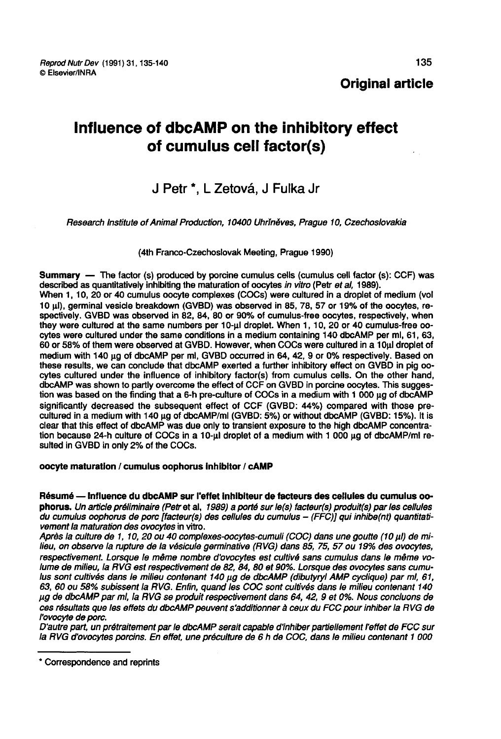# Influence of dbcAMP on the inhibitory effect of cumulus cell factor(s)

# J Petr<sup>\*</sup>, L Zetová, J Fulka Jr

Research Institute of Animal Production, 10400 Uhrfndves, Prague 10, Czechoslovakia

(4th Franco-Czechoslovak Meeting, Prague 1990)

Summary ― The factor (s) produced by porcine cumulus cells (cumulus cell factor (s): CCF) was described as quantitatively inhibiting the maturation of oocytes in vitro (Petr et al, 1989).

When 1, 10, 20 or 40 cumulus oocyte complexes (COCs) were cultured in a droplet of medium (vol 10 !I), germinal veside breakdown (GVBD) was observed in 85, 78, 57 or 19% of the oocytes, respectively. GVBD was observed in 82, 84, 80 or 90% of cumulus-free oocytes, respectively, when they were cultured at the same numbers per 10-ul droplet. When 1, 10, 20 or 40 cumulus-free oocytes were cultured under the same conditions in a medium containing 140 dbcAMP per ml, 61, 63, 60 or 58% of them were observed at GVBD. However, when COCs were cultured in a 10 ul droplet of medium with 140 µg of dbcAMP per ml, GVBD occurred in 64, 42, 9 or 0% respectively. Based on these results, we can conclude that dbcAMP exerted a further inhibitory effect on GVBD in pig oocytes cultured under the influence of inhibitory factor(s) from cumulus cells. On the other hand, dbcAMP was shown to partly overcome the effect of CCF on GVBD in porcine oocytes. This suggestion was based on the finding that a 6-h pre-culture of COCs in a medium with 1 000  $\mu$ g of dbcAMP significantly decreased the subsequent effect of CCF (GVBD: 44%) compared with those precultured in a medium with 140 µg of dbcAMP/ml (GVBD: 5%) or without dbcAMP (GVBD: 15%). It is clear that this effect of dbcAMP was due only to transient exposure to the high dbcAMP concentration because 24-h culture of COCs in a 10-ul droplet of a medium with 1 000  $\mu$ g of dbcAMP/ml resulted in GVBD in only 2% of the COCs.

# oocyte maturation / cumulus oophorus Inhibitor / cAMP

Résumé ― Influence du dbcAMP sur l'effet Inhibiteur de facteurs des cellules du cumulus oophorus. Un article préliminaire (Petr et al, 1989) a porté sur le(s) facteur(s) produit(s) par les cellules du cumulus oophorus de porc (facteur(s) des cellules du cumulus - (FFC)J qui inhibe(nt) quandtati- vement la maturation des ovocytes in vitro.

Après la culture de 1, 10, 20 ou 40 complexes-oocytes-cumuli (COC) dans une goutte (10 ul) de milieu, on observe la rupture de la vésicule germinative (RVG) dans 85, 75, 57 ou 19% des ovocytes, respectivement. Lorsque le même nombre d'ovocytes est cultivé sans cumulus dans le même volume de milieu, la RVG est respectivement de 82, 84, 80 et 90%. Lorsque des ovocytes sans cumulus sont cultivés dans le milieu contenant 140 µg de dbcAMP (dibutyryl AMP cyclique) par ml, 61, 63, 60 ou 58°l subissent la RVG. Enfin, quand les COC sont cultivés dans le milieu contenant 140 pg de dbcAMP par mi, la RVG se produit respectivement dans 64, 42, 9 et 0%. Nous concluons de ces résultats que les effets du dbcAMP peuvent s'additionner à ceux du FCC pour inhiber la RVG de l'ovocyte de porc.

D'autre part, un prétraitement par le dbcAMP serait capable d'inhiber partiellement l'effet de FCC sur la RVG d'ovocytes porcins. En effet, une préculture de 6 h de COC, dans le milieu contenant 1 000

<sup>\*</sup> Correspondence and reprints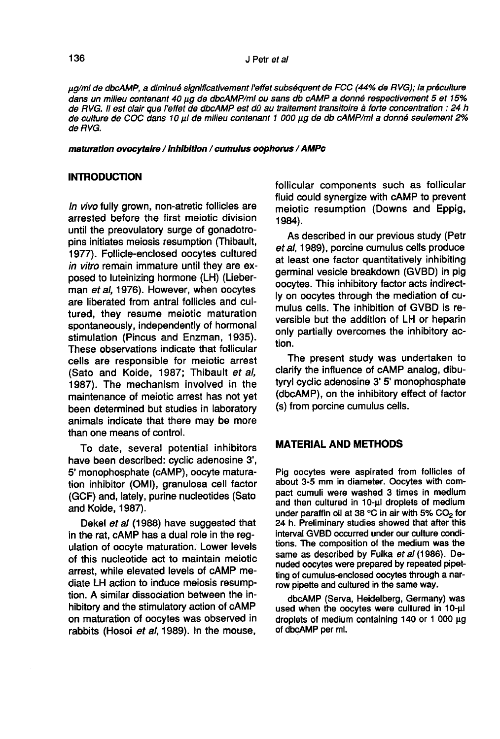lag/mi de dbcAMP, a diminué significativement I effet subséquent de FCC (44 % de RVG); la préculture dans un milieu contenant 40 lag de disculture dans un milieu contenant 40 lag/mi de disc<br>Alans un milieu contenant 40 μg de discAMP/ml ou sans db cAMP a donné respectivement 5 et 15%<br>de RVG. Il est clair que l'effet de di de RVG. Il est clair que l'effet de dbcAMP est dû au traitement transitoire à forte concentration : 24 h dans un milieu contenant 40 µg de dbcAMP/ml ou sans db cAMP a donné respectivement 5 et 15%<br>de RVG. Il est clair que l'effet de dbcAMP est dû au traitement transitoire à forte concentration : 24 h<br>de culture de COC dans 10 de RVG.

maturation ovocytaire / Inhibition / cumulus oophorus / AMPc

# INTRODUCTION

In vivo fully grown, non-atretic follicles are arrested before the first meiotic division until the preovulatory surge of gonadotropins initiates meiosis resumption (Thibault, 1977). Follicle-enclosed oocytes cultured in vitro remain immature until they are ex-<br>posed to luteinizing hormone (LH) (Lieberman et al. 1976). However, when oocytes are liberated from antral follicles and cultured, they resume meiotic maturation spontaneously, independently of hormonal stimulation (Pincus and Enzman, 1935). These observations indicate that follicular cells are responsible for meiotic arrest (Sato and Koide, 1987; Thibault et al, 1987). The mechanism involved in the maintenance of meiotic arrest has not yet been determined but studies in laboratory animals indicate that there may be more than one means of control.

To date, several potential inhibitors have been described: cyclic adenosine 3', 5' monophosphate (cAMP), oocyte maturation inhibitor (OMI), granulosa cell factor (GCF) and, lately, purine nucleotides (Sato and Koide, 1987).

Dekel et al (1988) have suggested that in the rat, cAMP has a dual role in the regulation of oocyte maturation. Lower levels of this nucleotide act to maintain meiotic arrest, while elevated levels of cAMP mediate LH action to induce meiosis resumption. A similar dissociation between the inhibitory and the stimulatory action of cAMP on maturation of oocytes was observed in rabbits (Hosoi et al, 1989). In the mouse,

follicular components such as follicular fluid could synergize with cAMP to prevent meiotic resumption (Downs and Eppig, 1984).

As described in our previous study (Petr et al, 1989), porcine cumulus cells produce at least one factor quantitatively inhibiting germinal vesicle breakdown (GVBD) in pig oocytes. This inhibitory factor acts indirectly on oocytes through the mediation of cumulus cells. The inhibition of GVBD is reversible but the addition of LH or heparin only partially overcomes the inhibitory action.

The present study was undertaken to clarify the influence of cAMP analog, dibutyryl cyclic adenosine 3' S' monophosphate (dbcAMP), on the inhibitory effect of factor (s) from porcine cumulus cells.

# MATERIAL AND METHODS

Pig oocytes were aspirated from follicles of about 3-5 mm in diameter. Oocytes with compact cumuli were washed 3 times in medium and then cultured in 10-µl droplets of medium<br>under paraffin oil at 38 °C in air with 5% CO<sub>2</sub> for<br>24 b. Preliminary studies showed that after this 24 h. Preliminary studies showed that after this interval GVBD occurred under our culture conditions. The composition of the medium was the same as described by Fulka et al (1986). Denuded oocytes were prepared by repeated pipetting of cumulus-enclosed oocytes through a narrow pipette and cultured in the same way.

dbcAMP (Serva, Heidelberg, Germany) was used when the oocytes were cultured in 10-µl droplets of medium containing  $140$  or  $1000 \mu g$ of dbcAMP per ml.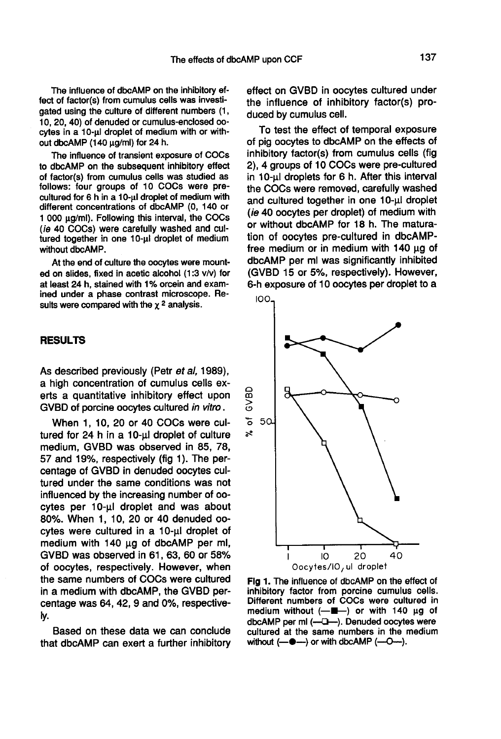The influence of dbcAMP on the inhibitory effect of factor(s) from cumulus cells was investigated using the culture of different numbers (1, 10, 20, 40) of denuded or cumulus-enclosed oocytes in a 10-ul droplet of medium with or without dbcAMP (140  $\mu$ g/ml) for 24 h.

The influence of transient exposure of COCs to dbcAMP on the subsequent inhibitory effect of factor(s) from cumulus cells was studied as follows: four groups of 10 COCs were precultured for 6 h in a 10-ul droplet of medium with different concentrations of dbcAMP (0, 140 or 1 000 µg/ml). Following this interval, the COCs (ie 40 COCs) were carefully washed and cultured together in one 10-ul droplet of medium without dbcAMP.

At the end of culture the oocytes were mount-<br>ed on slides, fixed in acetic alcohol (1:3 v/v) for<br>at least 24 h, stained with 1% orcein and exam-<br>ined under a phase contrast microscope. Re-<br>sults were compared with the  $\$ ed on slides, fixed in acetic alcohol (1:3 v/v) for at least 24 h, stained with 1 % orcein and examined under a phase contrast microscope. Results were compared with the  $\chi^2$  analysis.

#### RESULTS

As described previously (Petr et al, 1989), a high concentration of cumulus cells exerts a quantitative inhibitory effect upon GVBD of porcine oocytes cultured in vitro.

When 1, 10, 20 or 40 COCs were cultured for  $24$  h in a  $10$ - $\mu$ l droplet of culture medium, GVBD was observed in 85, 78, 57 and 19%, respectively (fig 1). The percentage of GVBD in denuded oocytes cultured under the same conditions was not influenced by the increasing number of oocytes per 10-µl droplet and was about 80%. When 1, 10, 20 or 40 denuded oocytes were cultured in a 10-µl droplet of medium with 140 µg of dbcAMP per ml, GVBD was observed in 61, 63, 60 or 58% of oocytes, respectively. However, when the same numbers of COCs were cultured in a medium with dbcAMP, the GVBD percentage was 64, 42, 9 and 0%, respectively.

Based on these data we can conclude that dbcAMP can exert a further inhibitory

effect on GVBD in oocytes cultured under the influence of inhibitory factor(s) produced by cumulus cell.

To test the effect of temporal exposure of pig oocytes to dbcAMP on the effects of inhibitory factor(s) from cumulus cells (fig 2), 4 groups of 10 COCs were pre-cultured<br>in 10-µl droplets for 6 h. After this interval<br>the COCs were removed, carefully washed the COCs were removed, carefully washed and cultured together in one 10-ul droplet (ie 40 oocytes per droplet) of medium with or without dbcAMP for 18 h. The maturation of oocytes pre-cultured in dbcAMPfree medium or in medium with  $140 \mu g$  of dbcAMP per ml was significantly inhibited (GVBD 15 or 5%, respectively). However, 6-h exposure of 10 oocytes per droplet to a



Fig 1. The influence of dbcAMP on the effect of inhibitory factor from porcine cumulus cells. Different numbers of COCs were cultured in medium without (-■) or with 140 µg of dbcAMP per ml (----). Denuded oocytes were cultured at the same numbers in the medium without  $(-\bullet -)$  or with dbcAMP  $(-O-)$ .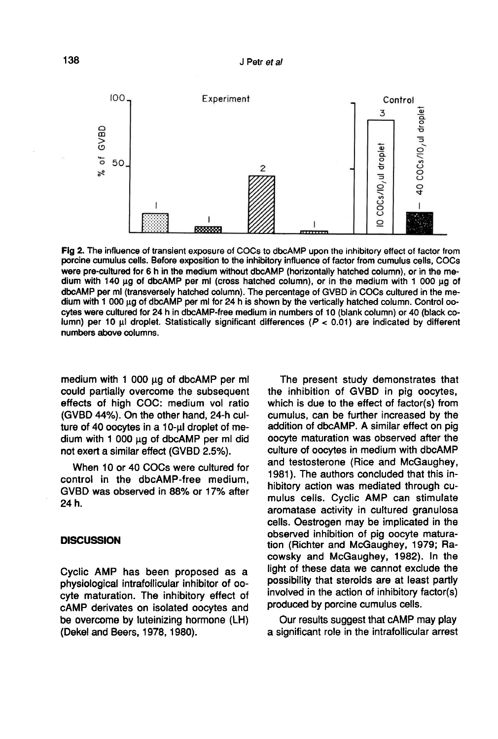

Fig 2. The influence of transient exposure of COCs to dbcAMP upon the inhibitory effect of factor from porcine cumulus cells. Before exposition to the inhibitory influence of factor from cumulus cells, COCs were pre-cultured for 6 h in the medium without dbcAMP (horizontally hatched column), or in the medium with 140 μg of dbcAMP per ml (cross hatched column), or in the medium with 1 000 μg of dbcAMP per ml (transversely hatched column). The percentage of GVBD in COCs cultured in the medium with 1 000 µg of dbcAMP per ml for 24 h is shown by the vertically hatched column. Control oocytes were cultured for 24 h in dbcAMP-free medium in numbers of 10 (blank column) or 40 (black column) per 10 µl droplet. Statistically significant differences ( $P < 0.01$ ) are indicated by different numbers above columns.

medium with 1 000  $\mu$ g of dbcAMP per ml could partially overcome the subsequent effects of high COC: medium vol ratio (GVBD 44%). On the other hand, 24-h culture of 40 oocytes in a 10-µl droplet of medium with 1 000  $\mu$ g of dbcAMP per ml did not exert a similar effect (GVBD 2.5%).

When 10 or 40 COCs were cultured for control in the dbcAMP-free medium, GVBD was observed in 88% or 17% after 24 h.

# **DISCUSSION**

Cyclic AMP has been proposed as a physiological intrafollicular inhibitor of oocyte maturation. The inhibitory effect of cAMP derivates on isolated oocytes and be overcome by luteinizing hormone (LH) (Dekel and Beers, 1978, 1980).

The present study demonstrates that the inhibition of GVBD in pig oocytes, which is due to the effect of factor(s) from cumulus, can be further increased by the addition of dbcAMP. A similar effect on pig oocyte maturation was observed after the culture of oocytes in medium with dbcAMP and testosterone (Rice and McGaughey, 1981). The authors concluded that this inhibitory action was mediated through cumulus cells. Cyclic AMP can stimulate aromatase activity in cultured granulosa cells. Oestrogen may be implicated in the observed inhibition of pig oocyte maturation (Richter and McGaughey, 1979; Racowsky and McGaughey, 1982). In the light of these data we cannot exclude the possibility that steroids are at least partly involved in the action of inhibitory factor(s) produced by porcine cumulus cells.

Our results suggest that cAMP may play a significant role in the intrafollicular arrest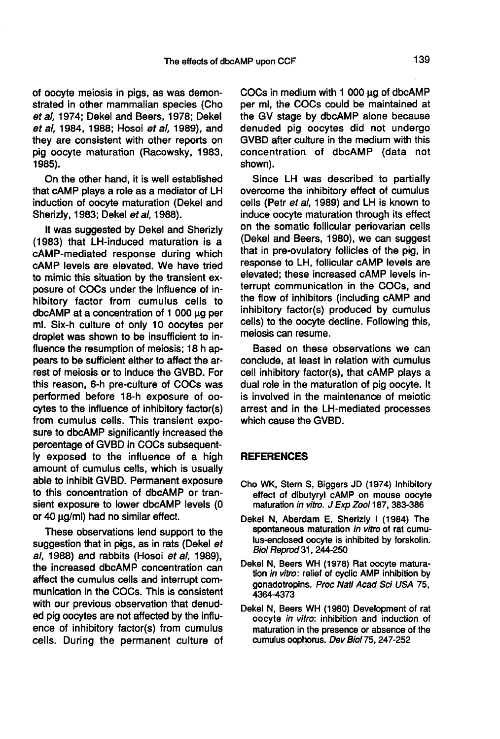of oocyte meiosis in pigs, as was demonstrated in other mammalian species (Cho et al, 1974; Dekel and Beers, 1978; Dekel et al, 1984, 1988; Hosoi et al, 1989), and they are consistent with other reports on pig oocyte maturation (Racowsky, 1983, 1985).

On the other hand, it is well established that cAMP plays a role as a mediator of LH induction of oocyte maturation (Dekel and Sherizly, 1983; Dekel et al, 1988).

It was suggested by Dekel and Sherizly (1983) that LH-induced maturation is a cAMP-mediated response during which cAMP levels are elevated. We have tried to mimic this situation by the transient exposure of COCs under the influence of inhibitory factor from cumulus cells to dbcAMP at a concentration of  $1000 \mu$ g per ml. Six-h culture of only 10 oocytes per droplet was shown to be insufficient to influence the resumption of meiosis; 18 h appears to be sufficient either to affect the arrest of meiosis or to induce the GVBD. For this reason, 6-h pre-culture of COCs was performed before 18-h exposure of oocytes to the influence of inhibitory factor(s) from cumulus cells. This transient exposure to dbcAMP significantly increased the percentage of GVBD in COCs subsequently exposed to the influence of a high amount of cumulus cells, which is usually able to inhibit GVBD. Permanent exposure to this concentration of dbcAMP or tran-<br>sient exposure to lower dbcAMP levels (0<br>or 40 μg/ml) had no similar effect.<br>These sheepestings land support to the

These observations lend support to the suggestion that in pigs, as in rats (Dekel et al, 1988) and rabbits (Hosoi et al, 1989), the increased dbcAMP concentration can affect the cumulus cells and interrupt communication in the COCs. This is consistent with our previous observation that denuded pig oocytes are not affected by the influence of inhibitory factor(s) from cumulus cells. During the permanent culture of COCs in medium with 1 000 µg of dbcAMP per ml, the COCs could be maintained at the GV stage by dbcAMP alone because denuded pig oocytes did not undergo GVBD after culture in the medium with this concentration of dbcAMP (data not shown).

Since LH was described to partially overcome the inhibitory effect of cumulus cells (Petr et al, 1989) and LH is known to induce oocyte maturation through its effect on the somatic follicular periovarian cells (Dekel and Beers, 1980), we can suggest that in pre-ovulatory follicles of the pig, in response to LH, follicular cAMP levels are elevated; these increased cAMP levels interrupt communication in the COCs, and the flow of inhibitors (including cAMP and inhibitory factor(s) produced by cumulus cells) to the oocyte decline. Following this, meiosis can resume.

Based on these observations we can conclude, at least in relation with cumulus cell inhibitory factor(s), that cAMP plays a dual role in the maturation of pig oocyte. It is involved in the maintenance of meiotic arrest and in the LH-mediated processes which cause the GVBD.

# **REFERENCES**

- Cho WK, Stern S, Biggers JD (1974) Inhibitory effect of dibutyryl cAMP on mouse oocyte maturation in vitro. J Exp Zool 187, 383-386
- Dekel N, Aberdam E, Sherizly I (1984) The spontaneous maturation in vitro of rat cumulus-enclosed oocyte is inhibited by forskolin. Biol Repmd 31, 244-250
- Dekel N, Beers WH (1978) Rat oocyte maturation in vitro: relief of cyclic AMP inhibition by gonadotropins. Proc Natl Acad Sci USA 75, 4364-4373
- Dekel N, Beers WH (1980) Development of rat oocyte in vitro: inhibition and induction of maturation in the presence or absence of the cumulus oophorus. Dev Biol 75, 247-252